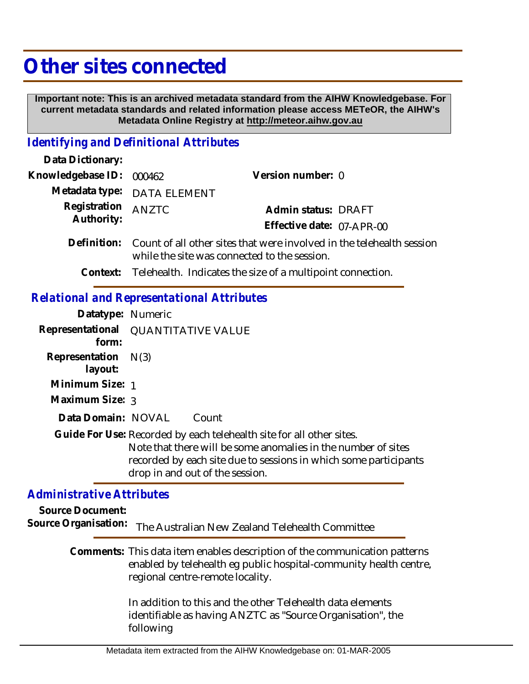## **Other sites connected**

 **Important note: This is an archived metadata standard from the AIHW Knowledgebase. For current metadata standards and related information please access METeOR, the AIHW's Metadata Online Registry at http://meteor.aihw.gov.au**

## *Identifying and Definitional Attributes*

| Data Dictionary:                                  |                                                                                                                       |                                                                     |  |
|---------------------------------------------------|-----------------------------------------------------------------------------------------------------------------------|---------------------------------------------------------------------|--|
| Knowledgebase ID:                                 | 000462                                                                                                                | Version number: 0                                                   |  |
| Metadata type:                                    | <b>DATA ELEMENT</b>                                                                                                   |                                                                     |  |
| Registration<br>Authority:                        | <b>ANZTC</b>                                                                                                          | Admin status: DRAFT                                                 |  |
|                                                   |                                                                                                                       | Effective date: 07-APR-00                                           |  |
| Definition:                                       | Count of all other sites that were involved in the telehealth session<br>while the site was connected to the session. |                                                                     |  |
|                                                   |                                                                                                                       | Context: Telehealth. Indicates the size of a multipoint connection. |  |
| <b>Relational and Representational Attributes</b> |                                                                                                                       |                                                                     |  |

## **Datatype:** Numeric

| Datalype. INCHIELIC              |                                                                                                                                                                                                                                              |
|----------------------------------|----------------------------------------------------------------------------------------------------------------------------------------------------------------------------------------------------------------------------------------------|
| form:                            | Representational QUANTITATIVE VALUE                                                                                                                                                                                                          |
| Representation $N(3)$<br>layout: |                                                                                                                                                                                                                                              |
| Minimum Size: 1                  |                                                                                                                                                                                                                                              |
| Maximum Size: 3                  |                                                                                                                                                                                                                                              |
| Data Domain: NOVAL               | Count                                                                                                                                                                                                                                        |
|                                  | Guide For Use: Recorded by each telehealth site for all other sites.<br>Note that there will be some anomalies in the number of sites<br>recorded by each site due to sessions in which some participants<br>drop in and out of the session. |

## *Administrative Attributes*

**Source Document:**

Source Organisation: The Australian New Zealand Telehealth Committee

Comments: This data item enables description of the communication patterns enabled by telehealth eg public hospital-community health centre, regional centre-remote locality.

> In addition to this and the other Telehealth data elements identifiable as having ANZTC as "Source Organisation", the following